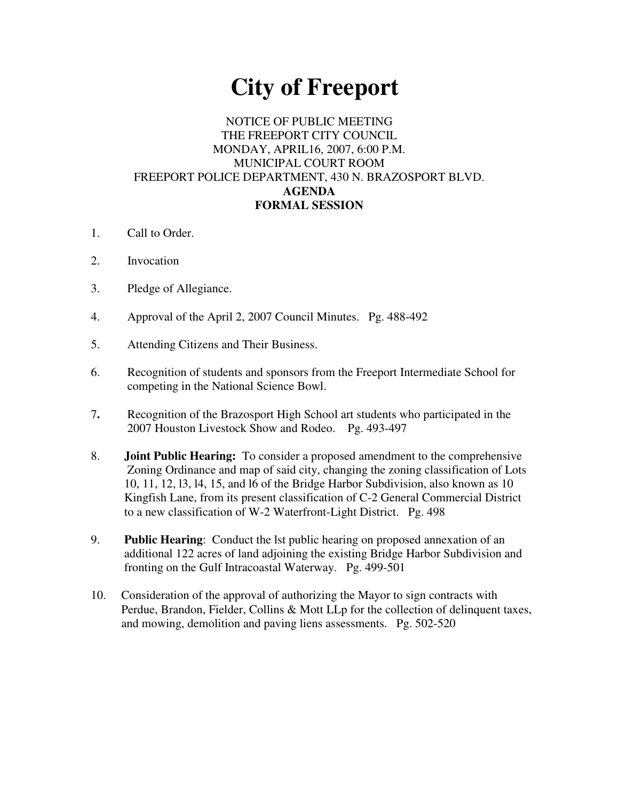# **City of Freeport**

#### NOTICE OF PUBLIC MEETING THE FREEPORT CITY COUNCIL MONDAY, APRIL16, 2007, 6:00 P.M. MUNICIPAL COURT ROOM FREEPORT POLICE DEPARTMENT, 430 N. BRAZOSPORT BLVD. **AGENDA FORMAL SESSION**

- 1. Call to Order.
- 2. Invocation
- 3. Pledge of Allegiance.
- 4. Approval of the April 2, 2007 Council Minutes. Pg. 488-492
- 5. Attending Citizens and Their Business.
- 6. Recognition of students and sponsors from the Freeport Intermediate School for competing in the National Science Bowl.
- 7**.** Recognition of the Brazosport High School art students who participated in the 2007 Houston Livestock Show and Rodeo. Pg. 493-497
- 8. **Joint Public Hearing:** To consider a proposed amendment to the comprehensive Zoning Ordinance and map of said city, changing the zoning classification of Lots 10, 11, 12, l3, l4, 15, and l6 of the Bridge Harbor Subdivision, also known as 10 Kingfish Lane, from its present classification of C-2 General Commercial District to a new classification of W-2 Waterfront-Light District. Pg. 498
- 9. **Public Hearing**: Conduct the lst public hearing on proposed annexation of an additional 122 acres of land adjoining the existing Bridge Harbor Subdivision and fronting on the Gulf Intracoastal Waterway. Pg. 499-501
- 10. Consideration of the approval of authorizing the Mayor to sign contracts with Perdue, Brandon, Fielder, Collins & Mott LLp for the collection of delinquent taxes, and mowing, demolition and paving liens assessments. Pg. 502-520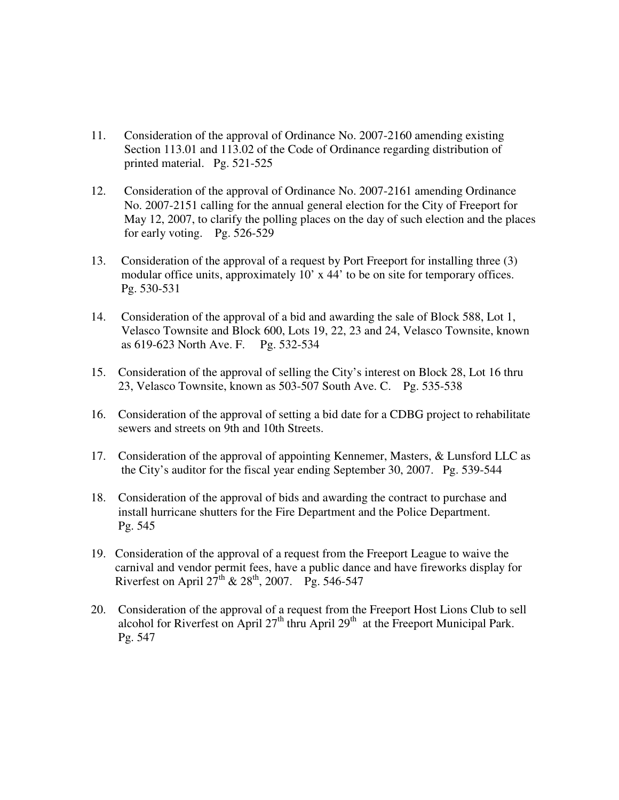- 11. Consideration of the approval of Ordinance No. 2007-2160 amending existing Section 113.01 and 113.02 of the Code of Ordinance regarding distribution of printed material. Pg. 521-525
- 12. Consideration of the approval of Ordinance No. 2007-2161 amending Ordinance No. 2007-2151 calling for the annual general election for the City of Freeport for May 12, 2007, to clarify the polling places on the day of such election and the places for early voting. Pg. 526-529
- 13. Consideration of the approval of a request by Port Freeport for installing three (3) modular office units, approximately 10' x 44' to be on site for temporary offices. Pg. 530-531
- 14. Consideration of the approval of a bid and awarding the sale of Block 588, Lot 1, Velasco Townsite and Block 600, Lots 19, 22, 23 and 24, Velasco Townsite, known as 619-623 North Ave. F. Pg. 532-534
- 15. Consideration of the approval of selling the City's interest on Block 28, Lot 16 thru 23, Velasco Townsite, known as 503-507 South Ave. C. Pg. 535-538
- 16. Consideration of the approval of setting a bid date for a CDBG project to rehabilitate sewers and streets on 9th and 10th Streets.
- 17. Consideration of the approval of appointing Kennemer, Masters, & Lunsford LLC as the City's auditor for the fiscal year ending September 30, 2007. Pg. 539-544
- 18. Consideration of the approval of bids and awarding the contract to purchase and install hurricane shutters for the Fire Department and the Police Department. Pg. 545
- 19. Consideration of the approval of a request from the Freeport League to waive the carnival and vendor permit fees, have a public dance and have fireworks display for Riverfest on April  $27^{\text{th}}$  &  $28^{\text{th}}$ , 2007. Pg. 546-547
- 20. Consideration of the approval of a request from the Freeport Host Lions Club to sell alcohol for Riverfest on April  $27<sup>th</sup>$  thru April  $29<sup>th</sup>$  at the Freeport Municipal Park. Pg. 547